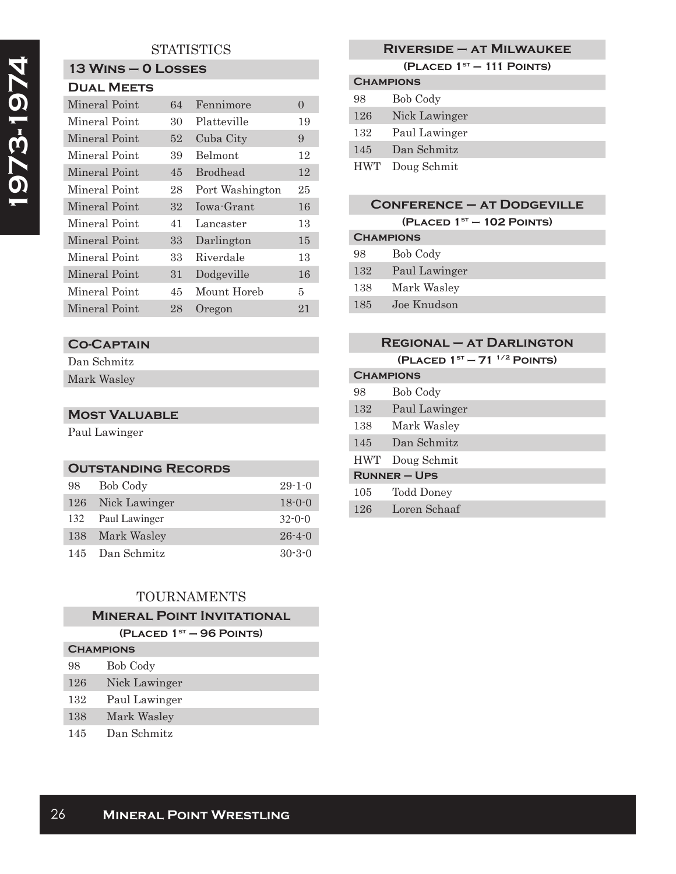## **STATISTICS**

## **13 Wins – 0 Losses**

|  |  | <b>DUAL MEETS</b> |
|--|--|-------------------|
|--|--|-------------------|

| Mineral Point | 64 | Fennimore       | $\mathbf{0}$ |
|---------------|----|-----------------|--------------|
| Mineral Point | 30 | Platteville     | 19           |
| Mineral Point | 52 | Cuba City       | 9            |
| Mineral Point | 39 | Belmont         | 12           |
| Mineral Point | 45 | <b>Brodhead</b> | 12           |
| Mineral Point | 28 | Port Washington | 25           |
| Mineral Point | 32 | Iowa-Grant      | 16           |
| Mineral Point | 41 | Lancaster       | 13           |
| Mineral Point | 33 | Darlington      | 15           |
| Mineral Point | 33 | Riverdale       | 13           |
| Mineral Point | 31 | Dodgeville      | 16           |
| Mineral Point | 45 | Mount Horeb     | 5            |
| Mineral Point | 28 | Oregon          | 21           |

### **Co-Captain**

Dan Schmitz Mark Wasley

### **Most Valuable**

Paul Lawinger

| <b>OUTSTANDING RECORDS</b> |                   |              |  |  |
|----------------------------|-------------------|--------------|--|--|
| 98                         | <b>Bob Cody</b>   | $29 - 1 - 0$ |  |  |
|                            | 126 Nick Lawinger | $18 - 0 - 0$ |  |  |
|                            | 132 Paul Lawinger | $32 - 0 - 0$ |  |  |
|                            | 138 Mark Wasley   | $26 - 4 - 0$ |  |  |
|                            | 145 Dan Schmitz   | $30 - 3 - 0$ |  |  |

## TOURNAMENTS

|  | <b>MINERAL POINT INVITATIONAL</b> |  |  |  |  |  |  |  |
|--|-----------------------------------|--|--|--|--|--|--|--|
|  |                                   |  |  |  |  |  |  |  |

| (PLACED $1ST - 96$ POINTS) |  |  |  |  |
|----------------------------|--|--|--|--|
|----------------------------|--|--|--|--|

| <b>CHAMPIONS</b> |               |
|------------------|---------------|
| 98               | Bob Cody      |
| 126              | Nick Lawinger |
| 132              | Paul Lawinger |
| 138              | Mark Wasley   |
|                  |               |

145 Dan Schmitz

## **Riverside – at Milwaukee**

**(Placed 1st – 111 Points)**

| <b>CHAMPIONS</b> |                 |  |  |
|------------------|-----------------|--|--|
| 98               | Bob Cody        |  |  |
| 126              | Nick Lawinger   |  |  |
| 132              | Paul Lawinger   |  |  |
| 145              | Dan Schmitz     |  |  |
|                  | HWT Doug Schmit |  |  |

# **Conference – at Dodgeville**

**(Placed 1st – 102 Points)**

| <b>CHAMPIONS</b> |               |  |
|------------------|---------------|--|
| 98               | Bob Cody      |  |
| 132              | Paul Lawinger |  |
| 138              | Mark Wasley   |  |
| 185              | Joe Knudson   |  |
|                  |               |  |

|            | <b>REGIONAL - AT DARLINGTON</b> |
|------------|---------------------------------|
|            | (PLACED $1ST - 711/2$ POINTS)   |
|            | <b>CHAMPIONS</b>                |
| 98         | Bob Cody                        |
| 132        | Paul Lawinger                   |
| 138        | Mark Wasley                     |
| 145        | Dan Schmitz                     |
| <b>HWT</b> | Doug Schmit                     |
|            | $RUNNER - UPS$                  |
| 105        | Todd Doney                      |
| 126        | Loren Schaaf                    |